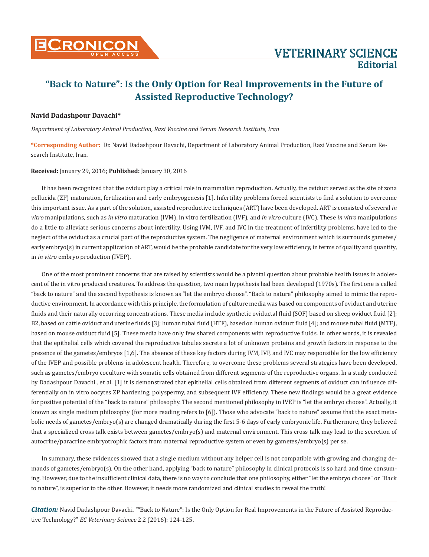

# **"Back to Nature": Is the Only Option for Real Improvements in the Future of Assisted Reproductive Technology?**

### **Navid Dadashpour Davachi\***

*Department of Laboratory Animal Production, Razi Vaccine and Serum Research Institute, Iran*

**\*Corresponding Author:** Dr. Navid Dadashpour Davachi, Department of Laboratory Animal Production, Razi Vaccine and Serum Research Institute, Iran.

#### **Received:** January 29, 2016; **Published:** January 30, 2016

It has been recognized that the oviduct play a critical role in mammalian reproduction. Actually, the oviduct served as the site of zona pellucida (ZP) maturation, fertilization and early embryogenesis [1]. Infertility problems forced scientists to find a solution to overcome this important issue. As a part of the solution, assisted reproductive techniques (ART) have been developed. ART is consisted of several *in vitro* manipulations, such as *in vitro* maturation (IVM), in vitro fertilization (IVF), and *in vitro* culture (IVC). These *in vitro* manipulations do a little to alleviate serious concerns about infertility. Using IVM, IVF, and IVC in the treatment of infertility problems, have led to the neglect of the oviduct as a crucial part of the reproductive system. The negligence of maternal environment which is surrounds gametes/ early embryo(s) in current application of ART, would be the probable candidate for the very low efficiency, in terms of quality and quantity, in *in vitro* embryo production (IVEP).

One of the most prominent concerns that are raised by scientists would be a pivotal question about probable health issues in adolescent of the in vitro produced creatures. To address the question, two main hypothesis had been developed (1970s). The first one is called "back to nature" and the second hypothesis is known as "let the embryo choose". "Back to nature" philosophy aimed to mimic the reproductive environment. In accordance with this principle, the formulation of culture media was based on components of oviduct and uterine fluids and their naturally occurring concentrations. These media include synthetic oviductal fluid (SOF) based on sheep oviduct fluid [2]; B2, based on cattle oviduct and uterine fluids [3]; human tubal fluid (HTF), based on human oviduct fluid [4]; and mouse tubal fluid (MTF), based on mouse oviduct fluid [5]. These media have only few shared components with reproductive fluids. In other words, it is revealed that the epithelial cells which covered the reproductive tubules secrete a lot of unknown proteins and growth factors in response to the presence of the gametes/embryos [1,6]. The absence of these key factors during IVM, IVF, and IVC may responsible for the low efficiency of the IVEP and possible problems in adolescent health. Therefore, to overcome these problems several strategies have been developed, such as gametes/embryo coculture with somatic cells obtained from different segments of the reproductive organs. In a study conducted by Dadashpour Davachi., et al. [1] it is demonstrated that epithelial cells obtained from different segments of oviduct can influence differentially on in vitro oocytes ZP hardening, polyspermy, and subsequent IVF efficiency. These new findings would be a great evidence for positive potential of the "back to nature" philosophy. The second mentioned philosophy in IVEP is "let the embryo choose". Actually, it known as single medium philosophy (for more reading refers to [6]). Those who advocate "back to nature" assume that the exact metabolic needs of gametes/embryo(s) are changed dramatically during the first 5-6 days of early embryonic life. Furthermore, they believed that a specialized cross talk exists between gametes/embryo(s) and maternal environment. This cross talk may lead to the secretion of autocrine/paracrine embryotrophic factors from maternal reproductive system or even by gametes/embryo(s) per se.

In summary, these evidences showed that a single medium without any helper cell is not compatible with growing and changing demands of gametes/embryo(s). On the other hand, applying "back to nature" philosophy in clinical protocols is so hard and time consuming. However, due to the insufficient clinical data, there is no way to conclude that one philosophy, either "let the embryo choose" or "Back to nature", is superior to the other. However, it needs more randomized and clinical studies to reveal the truth!

*Citation:* Navid Dadashpour Davachi. ""Back to Nature": Is the Only Option for Real Improvements in the Future of Assisted Reproductive Technology?" *EC Veterinary Science* 2.2 (2016): 124-125.